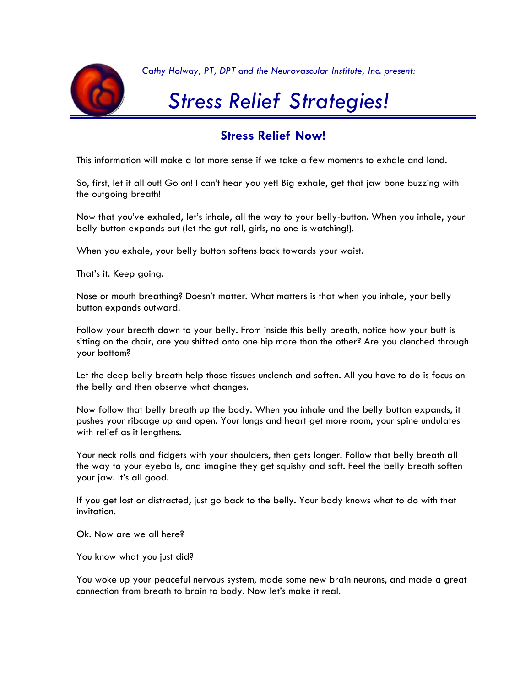

*Cathy Holway, PT, DPT and the Neurovascular Institute, Inc. present:*

# *Stress Relief Strategies!*

# **Stress Relief Now!**

This information will make a lot more sense if we take a few moments to exhale and land.

So, first, let it all out! Go on! I can't hear you yet! Big exhale, get that jaw bone buzzing with the outgoing breath!

Now that you've exhaled, let's inhale, all the way to your belly-button. When you inhale, your belly button expands out (let the gut roll, girls, no one is watching!).

When you exhale, your belly button softens back towards your waist.

That's it. Keep going.

Nose or mouth breathing? Doesn't matter. What matters is that when you inhale, your belly button expands outward.

Follow your breath down to your belly. From inside this belly breath, notice how your butt is sitting on the chair, are you shifted onto one hip more than the other? Are you clenched through your bottom?

Let the deep belly breath help those tissues unclench and soften. All you have to do is focus on the belly and then observe what changes.

Now follow that belly breath up the body. When you inhale and the belly button expands, it pushes your ribcage up and open. Your lungs and heart get more room, your spine undulates with relief as it lengthens.

Your neck rolls and fidgets with your shoulders, then gets longer. Follow that belly breath all the way to your eyeballs, and imagine they get squishy and soft. Feel the belly breath soften your jaw. It's all good.

If you get lost or distracted, just go back to the belly. Your body knows what to do with that invitation.

Ok. Now are we all here?

You know what you just did?

You woke up your peaceful nervous system, made some new brain neurons, and made a great connection from breath to brain to body. Now let's make it real.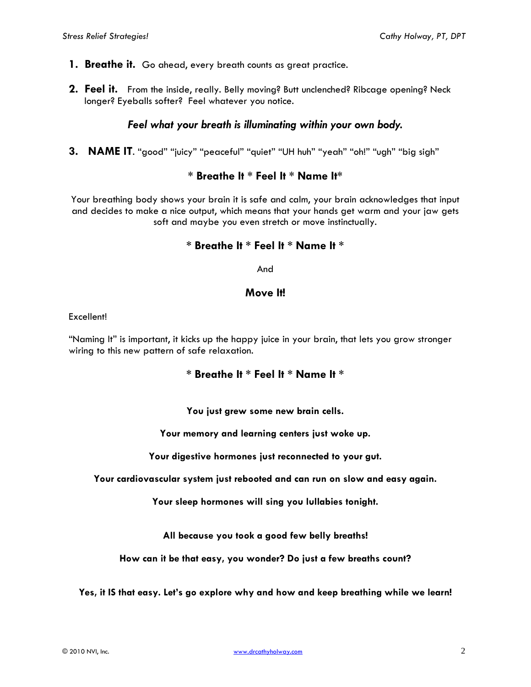- **1. Breathe it.** Go ahead, every breath counts as great practice.
- **2. Feel it.** From the inside, really. Belly moving? Butt unclenched? Ribcage opening? Neck longer? Eyeballs softer? Feel whatever you notice.

# *Feel what your breath is illuminating within your own body.*

**3. NAME IT**. "good" "juicy" "peaceful" "quiet" "UH huh" "yeah" "oh!" "ugh" "big sigh"

# **\* Breathe It \* Feel It \* Name It\***

Your breathing body shows your brain it is safe and calm, your brain acknowledges that input and decides to make a nice output, which means that your hands get warm and your jaw gets soft and maybe you even stretch or move instinctually.

# **\* Breathe It \* Feel It \* Name It \***

And

# **Move It!**

Excellent!

"Naming It" is important, it kicks up the happy juice in your brain, that lets you grow stronger wiring to this new pattern of safe relaxation.

# **\* Breathe It \* Feel It \* Name It \***

**You just grew some new brain cells.**

**Your memory and learning centers just woke up.**

**Your digestive hormones just reconnected to your gut.**

**Your cardiovascular system just rebooted and can run on slow and easy again.**

**Your sleep hormones will sing you lullabies tonight.**

**All because you took a good few belly breaths!**

**How can it be that easy, you wonder? Do just a few breaths count?**

**Yes, it IS that easy. Let's go explore why and how and keep breathing while we learn!**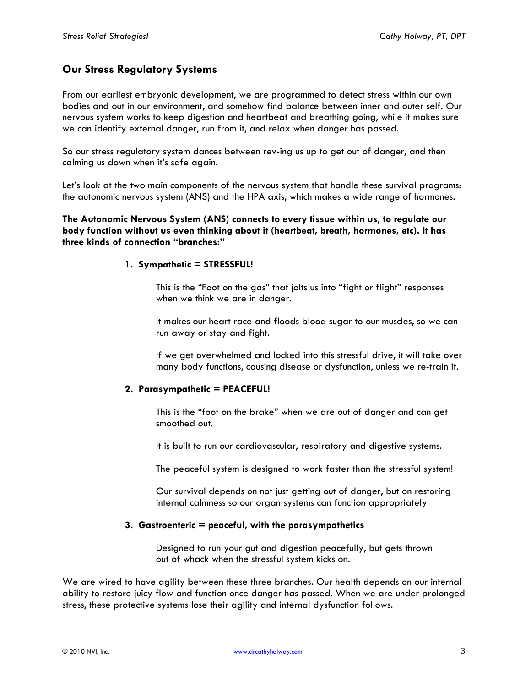# **Our Stress Regulatory Systems**

From our earliest embryonic development, we are programmed to detect stress within our own bodies and out in our environment, and somehow find balance between inner and outer self. Our nervous system works to keep digestion and heartbeat and breathing going, while it makes sure we can identify external danger, run from it, and relax when danger has passed.

So our stress regulatory system dances between rev-ing us up to get out of danger, and then calming us down when it's safe again.

Let's look at the two main components of the nervous system that handle these survival programs: the autonomic nervous system (ANS) and the HPA axis, which makes a wide range of hormones.

**The Autonomic Nervous System (ANS) connects to every tissue within us, to regulate our body function without us even thinking about it (heartbeat, breath, hormones, etc). It has three kinds of connection "branches:"**

## **1. Sympathetic = STRESSFUL!**

This is the "Foot on the gas" that jolts us into "fight or flight" responses when we think we are in danger.

It makes our heart race and floods blood sugar to our muscles, so we can run away or stay and fight.

If we get overwhelmed and locked into this stressful drive, it will take over many body functions, causing disease or dysfunction, unless we re-train it.

## **2. Parasympathetic = PEACEFUL!**

This is the "foot on the brake" when we are out of danger and can get smoothed out.

It is built to run our cardiovascular, respiratory and digestive systems.

The peaceful system is designed to work faster than the stressful system!

Our survival depends on not just getting out of danger, but on restoring internal calmness so our organ systems can function appropriately

## **3. Gastroenteric = peaceful, with the parasympathetics**

Designed to run your gut and digestion peacefully, but gets thrown out of whack when the stressful system kicks on.

We are wired to have agility between these three branches. Our health depends on our internal ability to restore juicy flow and function once danger has passed. When we are under prolonged stress, these protective systems lose their agility and internal dysfunction follows.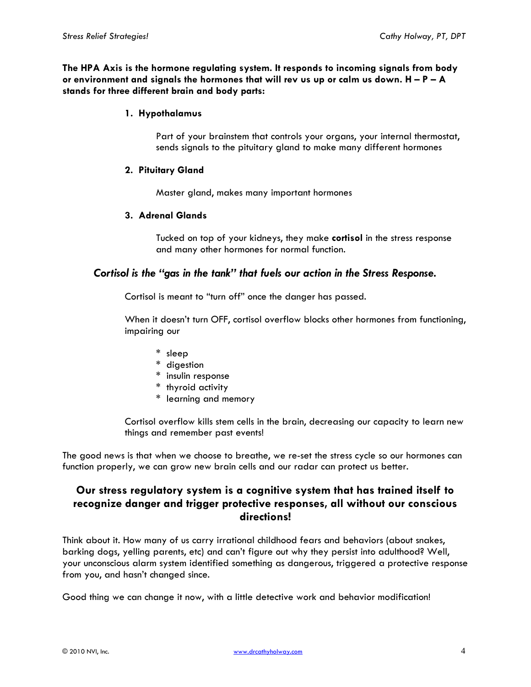**The HPA Axis is the hormone regulating system. It responds to incoming signals from body or environment and signals the hormones that will rev us up or calm us down. H – P – A stands for three different brain and body parts:**

## **1. Hypothalamus**

Part of your brainstem that controls your organs, your internal thermostat, sends signals to the pituitary gland to make many different hormones

## **2. Pituitary Gland**

Master gland, makes many important hormones

## **3. Adrenal Glands**

Tucked on top of your kidneys, they make **cortisol** in the stress response and many other hormones for normal function.

## *Cortisol is the "gas in the tank" that fuels our action in the Stress Response.*

Cortisol is meant to "turn off" once the danger has passed.

When it doesn't turn OFF, cortisol overflow blocks other hormones from functioning, impairing our

- \* sleep
- \* digestion
- \* insulin response
- \* thyroid activity
- \* learning and memory

Cortisol overflow kills stem cells in the brain, decreasing our capacity to learn new things and remember past events!

The good news is that when we choose to breathe, we re-set the stress cycle so our hormones can function properly, we can grow new brain cells and our radar can protect us better.

# **Our stress regulatory system is a cognitive system that has trained itself to recognize danger and trigger protective responses, all without our conscious directions!**

Think about it. How many of us carry irrational childhood fears and behaviors (about snakes, barking dogs, yelling parents, etc) and can't figure out why they persist into adulthood? Well, your unconscious alarm system identified something as dangerous, triggered a protective response from you, and hasn't changed since.

Good thing we can change it now, with a little detective work and behavior modification!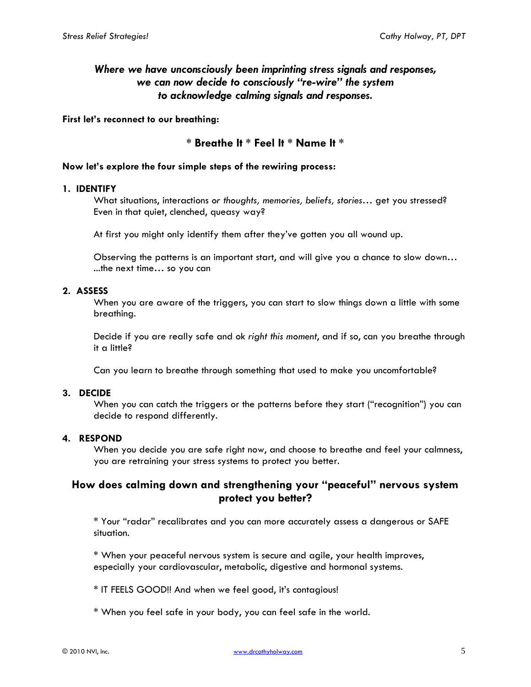# *Where we have unconsciously been imprinting stress signals and responses, we can now decide to consciously "re-wire" the system to acknowledge calming signals and responses.*

## **First let's reconnect to our breathing:**

## **\* Breathe It \* Feel It \* Name It \***

## **Now let's explore the four simple steps of the rewiring process:**

#### **1. IDENTIFY**

What situations, interactions *or thoughts, memories, beliefs, stories…* get you stressed? Even in that quiet, clenched, queasy way?

At first you might only identify them after they've gotten you all wound up.

Observing the patterns is an important start, and will give you a chance to slow down… ...the next time… so you can

## **2. ASSESS**

When you are aware of the triggers, you can start to slow things down a little with some breathing.

Decide if you are really safe and ok *right this moment*, and if so, can you breathe through it a little?

Can you learn to breathe through something that used to make you uncomfortable?

## **3. DECIDE**

When you can catch the triggers or the patterns before they start ("recognition") you can decide to respond differently.

#### **4. RESPOND**

When you decide you are safe right now, and choose to breathe and feel your calmness, you are retraining your stress systems to protect you better.

# **How does calming down and strengthening your "peaceful" nervous system protect you better?**

\* Your "radar" recalibrates and you can more accurately assess a dangerous or SAFE situation.

\* When your peaceful nervous system is secure and agile, your health improves, especially your cardiovascular, metabolic, digestive and hormonal systems.

\* IT FEELS GOOD!! And when we feel good, it's contagious!

\* When you feel safe in your body, you can feel safe in the world.